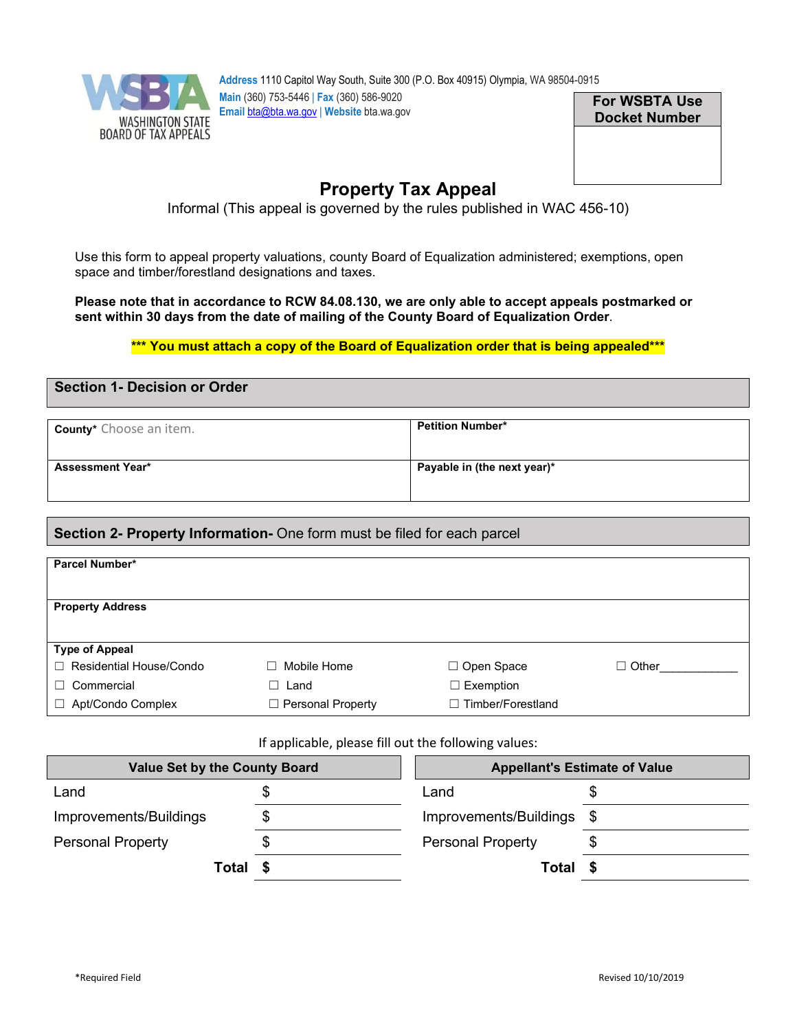

**Address** 1110 Capitol Way South, Suite 300 (P.O. Box 40915) Olympia, WA 98504-0915 **Main** (360) 753-5446 | **Fax** (360) 586-9020 **Email** [bta@bta.wa.gov](mailto:bta@bta.wa.gov) | **Website** bta.wa.gov

**For WSBTA Use Docket Number**

# **Property Tax Appeal**

Informal (This appeal is governed by the rules published in WAC 456-10)

Use this form to appeal property valuations, county Board of Equalization administered; exemptions, open space and timber/forestland designations and taxes.

**Please note that in accordance to RCW 84.08.130, we are only able to accept appeals postmarked or sent within 30 days from the date of mailing of the County Board of Equalization Order**.

### **\*\*\* You must attach a copy of the Board of Equalization order that is being appealed\*\*\***

# **Section 1- Decision or Order**

| <b>County*</b> Choose an item. | <b>Petition Number*</b>     |
|--------------------------------|-----------------------------|
| <b>Assessment Year*</b>        | Payable in (the next year)* |

# **Section 2- Property Information-** One form must be filed for each parcel

| Parcel Number*              |                     |                             |              |
|-----------------------------|---------------------|-----------------------------|--------------|
|                             |                     |                             |              |
|                             |                     |                             |              |
|                             |                     |                             |              |
| <b>Property Address</b>     |                     |                             |              |
|                             |                     |                             |              |
|                             |                     |                             |              |
| <b>Type of Appeal</b>       |                     |                             |              |
| □ Residential House/Condo   | Mobile Home         | □ Open Space                | $\Box$ Other |
| $\Box$ Commercial           | Land<br>□.          | $\Box$ Exemption            |              |
|                             |                     |                             |              |
| Apt/Condo Complex<br>$\Box$ | □ Personal Property | Timber/Forestland<br>$\Box$ |              |
|                             |                     |                             |              |

If applicable, please fill out the following values:

| <b>Value Set by the County Board</b> |  | <b>Appellant's Estimate of Value</b> |      |
|--------------------------------------|--|--------------------------------------|------|
| Land                                 |  | Land                                 | Ъ    |
| Improvements/Buildings               |  | Improvements/Buildings               | - \$ |
| <b>Personal Property</b>             |  | <b>Personal Property</b>             |      |
| Total                                |  | Total                                |      |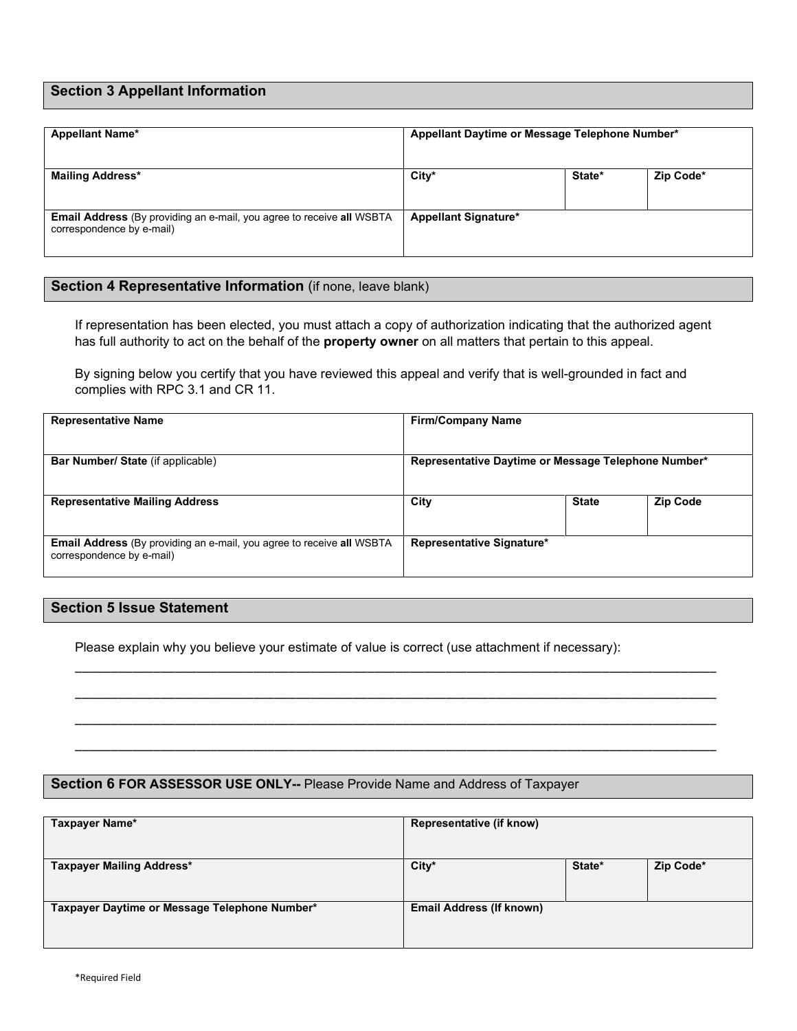# **Section 3 Appellant Information**

| <b>Appellant Name*</b>                                                                                    | Appellant Daytime or Message Telephone Number* |        |           |
|-----------------------------------------------------------------------------------------------------------|------------------------------------------------|--------|-----------|
| <b>Mailing Address*</b>                                                                                   | $City*$                                        | State* | Zip Code* |
| <b>Email Address</b> (By providing an e-mail, you agree to receive all WSBTA<br>correspondence by e-mail) | <b>Appellant Signature*</b>                    |        |           |

# **Section 4 Representative Information** (if none, leave blank)

If representation has been elected, you must attach a copy of authorization indicating that the authorized agent has full authority to act on the behalf of the **property owner** on all matters that pertain to this appeal.

By signing below you certify that you have reviewed this appeal and verify that is well-grounded in fact and complies with RPC 3.1 and CR 11.

| <b>Representative Name</b>                                                                                | <b>Firm/Company Name</b>                            |              |                 |
|-----------------------------------------------------------------------------------------------------------|-----------------------------------------------------|--------------|-----------------|
| <b>Bar Number/ State (if applicable)</b>                                                                  | Representative Daytime or Message Telephone Number* |              |                 |
| <b>Representative Mailing Address</b>                                                                     | City                                                | <b>State</b> | <b>Zip Code</b> |
| <b>Email Address</b> (By providing an e-mail, you agree to receive all WSBTA<br>correspondence by e-mail) | Representative Signature*                           |              |                 |

\_\_\_\_\_\_\_\_\_\_\_\_\_\_\_\_\_\_\_\_\_\_\_\_\_\_\_\_\_\_\_\_\_\_\_\_\_\_\_\_\_\_\_\_\_\_\_\_\_\_\_\_\_\_\_\_\_\_\_\_\_\_\_\_\_\_\_\_\_\_\_\_\_\_\_\_\_\_\_\_\_\_\_\_\_\_\_\_\_\_

\_\_\_\_\_\_\_\_\_\_\_\_\_\_\_\_\_\_\_\_\_\_\_\_\_\_\_\_\_\_\_\_\_\_\_\_\_\_\_\_\_\_\_\_\_\_\_\_\_\_\_\_\_\_\_\_\_\_\_\_\_\_\_\_\_\_\_\_\_\_\_\_\_\_\_\_\_\_\_\_\_\_\_\_\_\_\_\_\_\_

\_\_\_\_\_\_\_\_\_\_\_\_\_\_\_\_\_\_\_\_\_\_\_\_\_\_\_\_\_\_\_\_\_\_\_\_\_\_\_\_\_\_\_\_\_\_\_\_\_\_\_\_\_\_\_\_\_\_\_\_\_\_\_\_\_\_\_\_\_\_\_\_\_\_\_\_\_\_\_\_\_\_\_\_\_\_\_\_\_\_

\_\_\_\_\_\_\_\_\_\_\_\_\_\_\_\_\_\_\_\_\_\_\_\_\_\_\_\_\_\_\_\_\_\_\_\_\_\_\_\_\_\_\_\_\_\_\_\_\_\_\_\_\_\_\_\_\_\_\_\_\_\_\_\_\_\_\_\_\_\_\_\_\_\_\_\_\_\_\_\_\_\_\_\_\_\_\_\_\_\_

### **Section 5 Issue Statement**

Please explain why you believe your estimate of value is correct (use attachment if necessary):

#### **Section 6 FOR ASSESSOR USE ONLY--** Please Provide Name and Address of Taxpayer

| Taxpayer Name*                                | Representative (if know)        |        |           |
|-----------------------------------------------|---------------------------------|--------|-----------|
| <b>Taxpayer Mailing Address*</b>              | City*                           | State* | Zip Code* |
| Taxpayer Daytime or Message Telephone Number* | <b>Email Address (If known)</b> |        |           |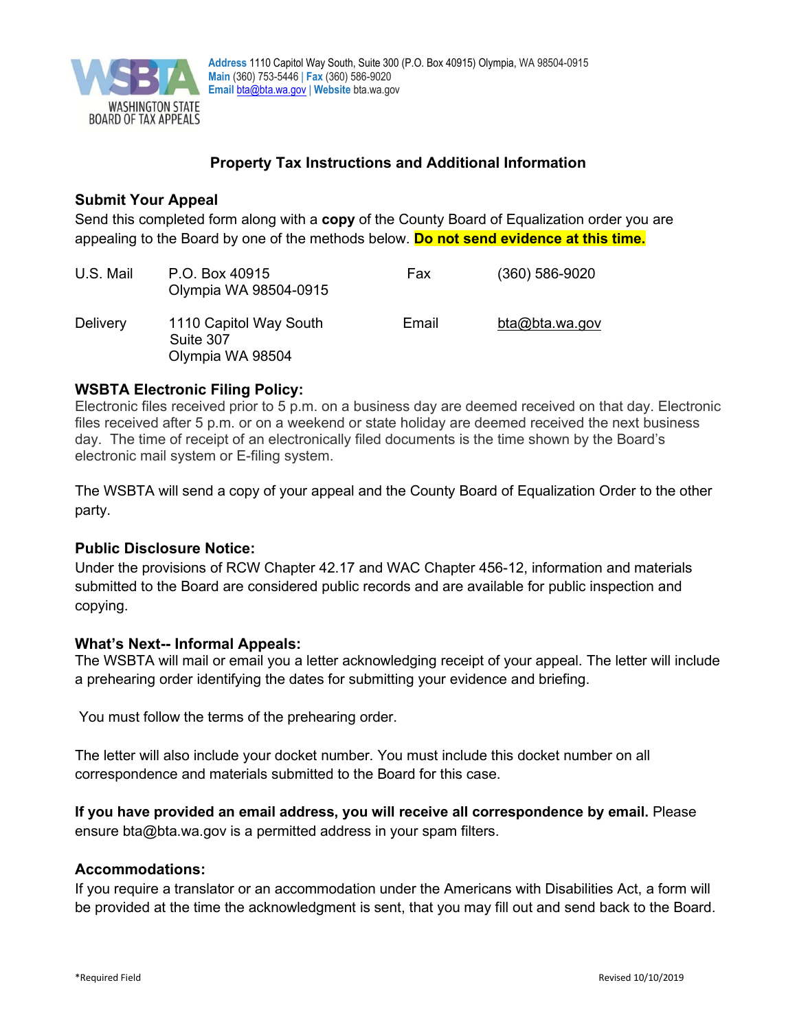

# **Property Tax Instructions and Additional Information**

# **Submit Your Appeal**

Send this completed form along with a **copy** of the County Board of Equalization order you are appealing to the Board by one of the methods below. **Do not send evidence at this time.**

| U.S. Mail       | P.O. Box 40915<br>Olympia WA 98504-0915                 | Fax   | $(360) 586 - 9020$ |
|-----------------|---------------------------------------------------------|-------|--------------------|
| <b>Delivery</b> | 1110 Capitol Way South<br>Suite 307<br>Olympia WA 98504 | Email | bta@bta.wa.gov     |

# **WSBTA Electronic Filing Policy:**

Electronic files received prior to 5 p.m. on a business day are deemed received on that day. Electronic files received after 5 p.m. or on a weekend or state holiday are deemed received the next business day. The time of receipt of an electronically filed documents is the time shown by the Board's electronic mail system or E-filing system.

The WSBTA will send a copy of your appeal and the County Board of Equalization Order to the other party.

# **Public Disclosure Notice:**

Under the provisions of RCW Chapter 42.17 and WAC Chapter 456-12, information and materials submitted to the Board are considered public records and are available for public inspection and copying.

# **What's Next-- Informal Appeals:**

The WSBTA will mail or email you a letter acknowledging receipt of your appeal. The letter will include a prehearing order identifying the dates for submitting your evidence and briefing.

You must follow the terms of the prehearing order.

The letter will also include your docket number. You must include this docket number on all correspondence and materials submitted to the Board for this case.

**If you have provided an email address, you will receive all correspondence by email.** Please ensure bta@bta.wa.gov is a permitted address in your spam filters.

# **Accommodations:**

If you require a translator or an accommodation under the Americans with Disabilities Act, a form will be provided at the time the acknowledgment is sent, that you may fill out and send back to the Board.